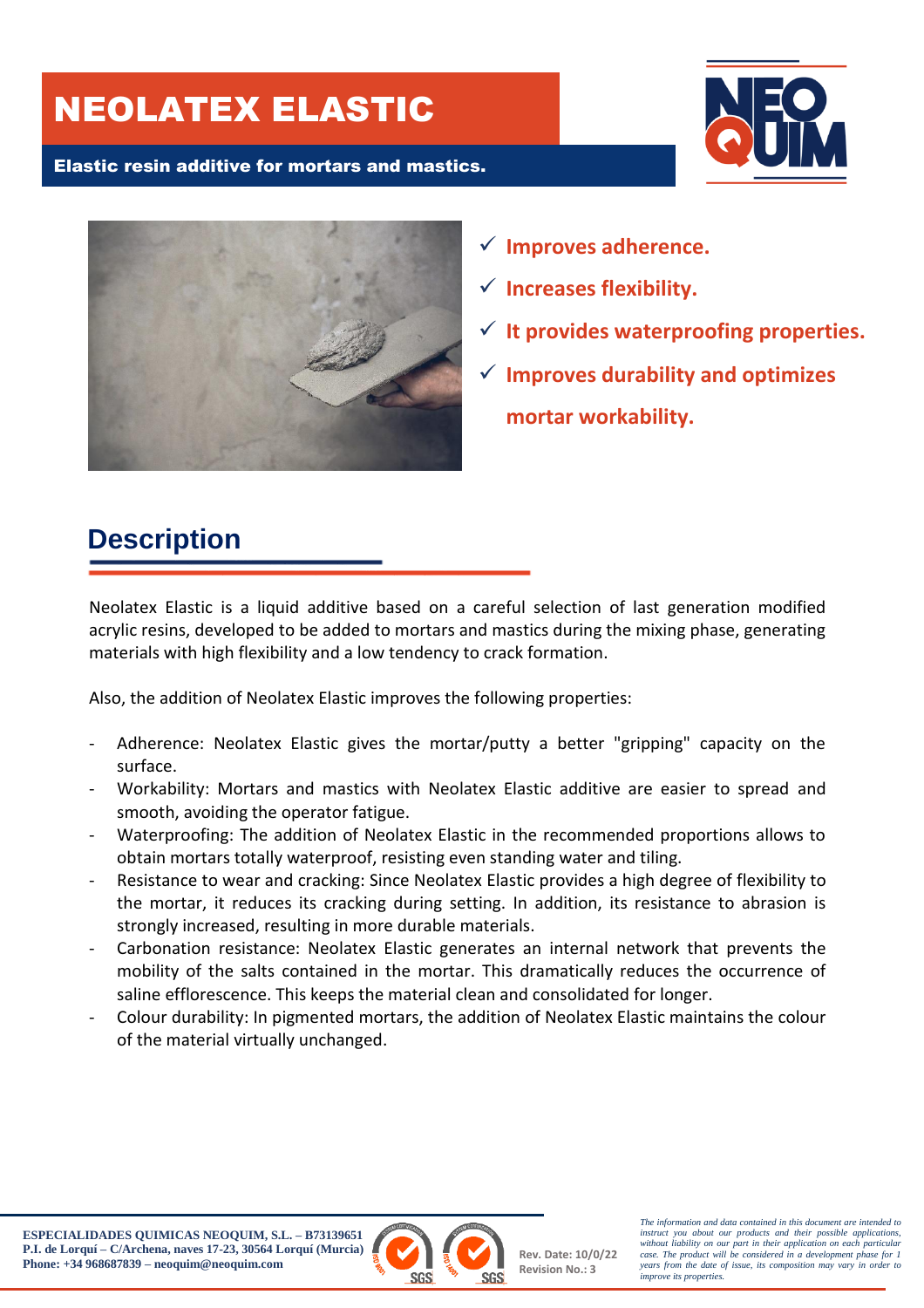# NEOLATEX ELASTIC

#### Elastic resin additive for mortars and mastics.





- **Improves adherence.**
- **Increases flexibility.**
- **It provides waterproofing properties.**
- **Improves durability and optimizes mortar workability.**

# **Description**

Neolatex Elastic is a liquid additive based on a careful selection of last generation modified acrylic resins, developed to be added to mortars and mastics during the mixing phase, generating materials with high flexibility and a low tendency to crack formation.

Also, the addition of Neolatex Elastic improves the following properties:

- Adherence: Neolatex Elastic gives the mortar/putty a better "gripping" capacity on the surface.
- Workability: Mortars and mastics with Neolatex Elastic additive are easier to spread and smooth, avoiding the operator fatigue.
- Waterproofing: The addition of Neolatex Elastic in the recommended proportions allows to obtain mortars totally waterproof, resisting even standing water and tiling.
- Resistance to wear and cracking: Since Neolatex Elastic provides a high degree of flexibility to the mortar, it reduces its cracking during setting. In addition, its resistance to abrasion is strongly increased, resulting in more durable materials.
- Carbonation resistance: Neolatex Elastic generates an internal network that prevents the mobility of the salts contained in the mortar. This dramatically reduces the occurrence of saline efflorescence. This keeps the material clean and consolidated for longer.
- Colour durability: In pigmented mortars, the addition of Neolatex Elastic maintains the colour of the material virtually unchanged.